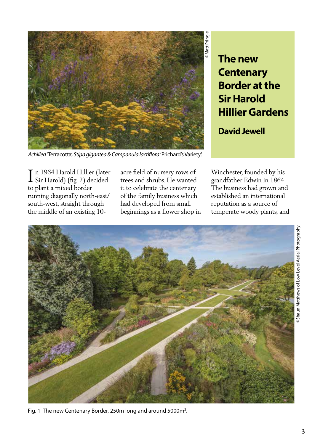

**The new Centenary Border at the Sir Harold Hillier Gardens**

**David Jewell** 

*Achillea* 'Terracotta', *Stipa gigantea & Campanula lactiflora* 'Prichard's Variety'.

n 1964 Harold Hillier (later In 1964 Harold Hillier (later<br>Sir Harold) (fig. 2) decided to plant a mixed border running diagonally north-east/ south-west, straight through the middle of an existing 10acre field of nursery rows of trees and shrubs. He wanted it to celebrate the centenary of the family business which had developed from small beginnings as a flower shop in Winchester, founded by his grandfather Edwin in 1864. The business had grown and established an international reputation as a source of temperate woody plants, and



Fig. 1 The new Centenary Border, 250m long and around 5000m<sup>2</sup>.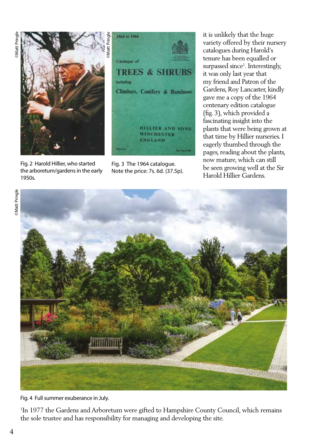

Fig. 2 Harold Hillier, who started the arboretum/gardens in the early 1950s.

Fig. 3 The 1964 catalogue. Note the price: 7s. 6d. (37.5p).

it is unlikely that the huge variety offered by their nursery catalogues during Harold's tenure has been equalled or surpassed since<sup>1</sup>. Interestingly, it was only last year that my friend and Patron of the Gardens, Roy Lancaster, kindly gave me a copy of the 1964 centenary edition catalogue (fig. 3), which provided a fascinating insight into the plants that were being grown at that time by Hillier nurseries. I eagerly thumbed through the pages, reading about the plants, now mature, which can still be seen growing well at the Sir Harold Hillier Gardens.





Fig. 4 Full summer exuberance in July.

<sup>1</sup>In 1977 the Gardens and Arboretum were gifted to Hampshire County Council, which remains the sole trustee and has responsibility for managing and developing the site.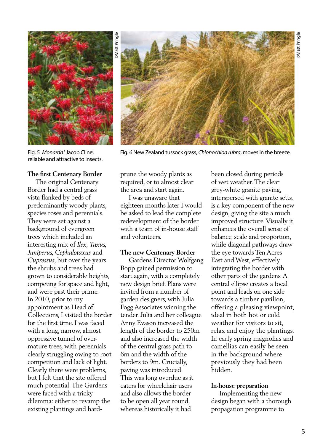

©Matt Pringle

Fig. 5 *Monarda* ' Jacob Cline', Fig. 6 New Zealand tussock grass, *Chionochloa rubra*, moves in the breeze. reliable and attractive to insects.

### **The first Centenary Border**

 The original Centenary Border had a central grass vista flanked by beds of predominantly woody plants, species roses and perennials. They were set against a background of evergreen trees which included an interesting mix of *Ilex, Taxus, Juniperus, Cephalotaxus* and *Cupressus*, but over the years the shrubs and trees had grown to considerable heights, competing for space and light, and were past their prime. In 2010, prior to my appointment as Head of Collections, I visited the border for the first time. I was faced with a long, narrow, almost oppressive tunnel of overmature trees, with perennials clearly struggling owing to root competition and lack of light. Clearly there were problems, but I felt that the site offered much potential. The Gardens were faced with a tricky dilemma: either to revamp the existing plantings and hardprune the woody plants as required, or to almost clear the area and start again.

 I was unaware that eighteen months later I would be asked to lead the complete redevelopment of the border with a team of in-house staff and volunteers.

### **The new Centenary Border**

 Gardens Director Wolfgang Bopp gained permission to start again, with a completely new design brief. Plans were invited from a number of garden designers, with Julia Fogg Associates winning the tender. Julia and her colleague Anny Evason increased the length of the border to 250m and also increased the width of the central grass path to 6m and the width of the borders to 9m. Crucially, paving was introduced. This was long overdue as it caters for wheelchair users and also allows the border to be open all year round, whereas historically it had

been closed during periods of wet weather. The clear grey-white granite paving, interspersed with granite setts, is a key component of the new design, giving the site a much improved structure. Visually it enhances the overall sense of balance, scale and proportion, while diagonal pathways draw the eye towards Ten Acres East and West, effectively integrating the border with other parts of the gardens. A central ellipse creates a focal point and leads on one side towards a timber pavilion, offering a pleasing viewpoint, ideal in both hot or cold weather for visitors to sit, relax and enjoy the plantings. In early spring magnolias and camellias can easily be seen in the background where previously they had been hidden.

### **In-house preparation**

 Implementing the new design began with a thorough propagation programme to

5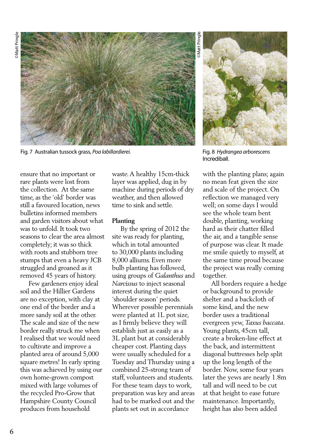

Fig. 7 Australian tussock grass, *Poa labillardierei.* Fig. 8 *Hydrangea arborescens*

©Matt Pringle Matt Pringle



Incrediball.

ensure that no important or rare plants were lost from the collection. At the same time, as the 'old' border was still a favoured location, news bulletins informed members and garden visitors about what was to unfold. It took two seasons to clear the area almost completely; it was so thick with roots and stubborn tree stumps that even a heavy JCB struggled and groaned as it removed 45 years of history.

 Few gardeners enjoy ideal soil and the Hillier Gardens are no exception, with clay at one end of the border and a more sandy soil at the other. The scale and size of the new border really struck me when I realised that we would need to cultivate and improve a planted area of around 5,000 square metres! In early spring this was achieved by using our own home-grown compost mixed with large volumes of the recycled Pro-Grow that Hampshire County Council produces from household

waste. A healthy 15cm-thick layer was applied, dug in by machine during periods of dry weather, and then allowed time to sink and settle.

# **Planting**

 By the spring of 2012 the site was ready for planting, which in total amounted to 30,000 plants including 8,000 alliums. Even more bulb planting has followed, using groups of *Galanthus* and *Narcissus* to inject seasonal interest during the quiet 'shoulder season' periods. Wherever possible perennials were planted at 1L pot size, as I firmly believe they will establish just as easily as a 3L plant but at considerably cheaper cost. Planting days were usually scheduled for a Tuesday and Thursday using a combined 25-strong team of staff, volunteers and students. For these team days to work, preparation was key and areas had to be marked out and the plants set out in accordance

with the planting plans; again no mean feat given the size and scale of the project. On reflection we managed very well; on some days I would see the whole team bent double, planting, working hard as their chatter filled the air, and a tangible sense of purpose was clear. It made me smile quietly to myself, at the same time proud because the project was really coming together.

 All borders require a hedge or background to provide shelter and a backcloth of some kind, and the new border uses a traditional evergreen yew, *Taxus baccata*. Young plants, 45cm tall, create a broken-line effect at the back, and intermittent diagonal buttresses help split up the long length of the border. Now, some four years later the yews are nearly 1.8m tall and will need to be cut at that height to ease future maintenance. Importantly, height has also been added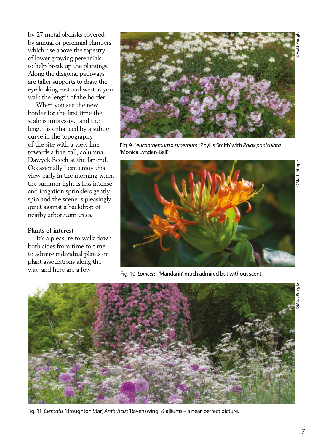by 27 metal obelisks covered by annual or perennial climbers which rise above the tapestry of lower-growing perennials to help break up the plantings. Along the diagonal pathways are taller supports to draw the eye looking east and west as you walk the length of the border.

 When you see the new border for the first time the scale is impressive, and the length is enhanced by a subtle curve in the topography of the site with a view line towards a fine, tall, columnar Dawyck Beech at the far end. Occasionally I can enjoy this view early in the morning when the summer light is less intense and irrigation sprinklers gently spin and the scene is pleasingly quiet against a backdrop of nearby arboretum trees.

## **Plants of interest**

 It's a pleasure to walk down both sides from time to time to admire individual plants or plant associations along the way, and here are a few



Fig. 9 *Leucanthemum* x *superbum* 'Phyllis Smith' with *Phlox paniculata* 'Monica Lynden-Bell'.



Fig. 10 *Lonicera '*Mandarin', much admired but without scent.



Fig. 11 *Clematis* 'Broughton Star', *Anthriscus* 'Ravenswing' & alliums – a near-perfect picture.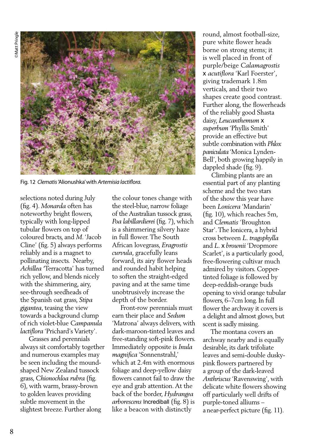©Matt Pringle Matt Pringle



Fig. 12 *Clematis* 'Alionushka' with *Artemisia lactiflora.*

selections noted during July (fig. 4). *Monarda* often has noteworthy bright flowers, typically with long-lipped tubular flowers on top of coloured bracts, and *M*. 'Jacob Cline' (fig. 5) always performs reliably and is a magnet to pollinating insects. Nearby, *Achillea '*Terracotta' has turned rich yellow, and blends nicely with the shimmering, airy, see-through seedheads of the Spanish oat grass, *Stipa gigantea*, teasing the view towards a background clump of rich violet-blue *Campanula lactiflora* 'Prichard's Variety'.

 Grasses and perennials always sit comfortably together and numerous examples may be seen including the moundshaped New Zealand tussock grass, *Chionochloa rubra* (fig. 6), with warm, brassy-brown to golden leaves providing subtle movement in the slightest breeze. Further along

the colour tones change with the steel-blue, narrow foliage of the Australian tussock grass, *Poa labillardierei* (fig. 7), which is a shimmering silvery haze in full flower. The South African lovegrass, *Eragrostis curvula*, gracefully leans forward, its airy flower heads and rounded habit helping to soften the straight-edged paving and at the same time unobtrusively increase the depth of the border.

 Front-row perennials must earn their place and *Sedum*  'Matrona' always delivers, with dark-maroon-tinted leaves and free-standing soft-pink flowers. Immediately opposite is *Inula magnifica* 'Sonnenstrahl,' which at 2.4m with enormous foliage and deep-yellow daisy flowers cannot fail to draw the eye and grab attention. At the back of the border, *Hydrangea arborescens* Incrediball (fig. 8) is like a beacon with distinctly

round, almost football-size, pure white flower heads borne on strong stems; it is well placed in front of purple/beige *Calamagrostis*  x *acutiflora* 'Karl Foerster', giving trademark 1.8m verticals, and their two shapes create good contrast. Further along, the flowerheads of the reliably good Shasta daisy, *Leucanthemum* x *superbum* 'Phyllis Smith' provide an effective but subtle combination with *Phlox paniculata* 'Monica Lynden-Bell', both growing happily in dappled shade (fig. 9).

 Climbing plants are an essential part of any planting scheme and the two stars of the show this year have been *Lonicera* 'Mandarin' (fig. 10), which reaches 5m, and *Clematis* 'Broughton Star'. The lonicera, a hybrid cross between *L. tragophylla*  and *L.* x *brownii* 'Dropmore Scarlet', is a particularly good, free-flowering cultivar much admired by visitors. Coppertinted foliage is followed by deep-reddish-orange buds opening to vivid orange tubular flowers, 6–7cm long. In full flower the archway it covers is a delight and almost glows, but scent is sadly missing.

 The montana covers an archway nearby and is equally desirable, its dark trifoliate leaves and semi-double duskypink flowers partnered by a group of the dark-leaved *Anthriscus* 'Ravenswing', with delicate white flowers showing off particularly well drifts of purple-toned alliums – a near-perfect picture (fig. 11).